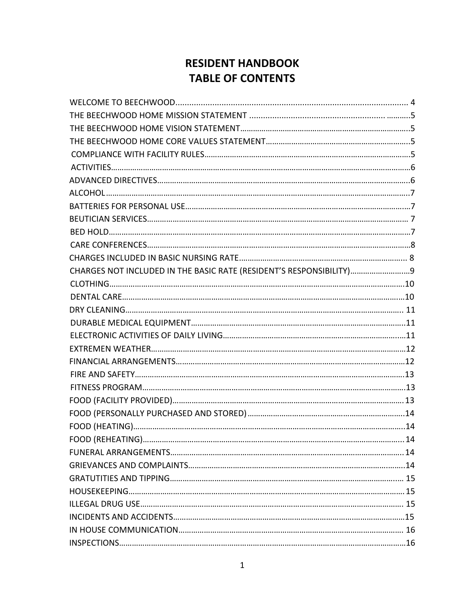## **RESIDENT HANDBOOK TABLE OF CONTENTS**

| CHARGES NOT INCLUDED IN THE BASIC RATE (RESIDENT'S RESPONSIBILITY)9 |  |
|---------------------------------------------------------------------|--|
|                                                                     |  |
|                                                                     |  |
|                                                                     |  |
|                                                                     |  |
|                                                                     |  |
|                                                                     |  |
|                                                                     |  |
|                                                                     |  |
|                                                                     |  |
|                                                                     |  |
|                                                                     |  |
|                                                                     |  |
|                                                                     |  |
|                                                                     |  |
|                                                                     |  |
|                                                                     |  |
|                                                                     |  |
|                                                                     |  |
|                                                                     |  |
|                                                                     |  |
|                                                                     |  |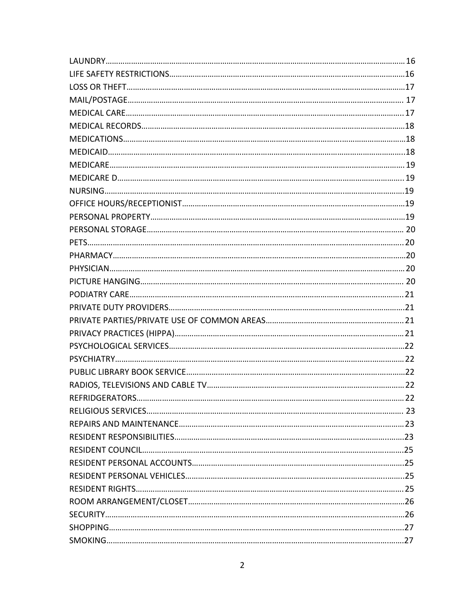| REFRIDGERATORS. | 22 |
|-----------------|----|
|                 |    |
|                 |    |
|                 |    |
|                 |    |
|                 |    |
|                 |    |
|                 |    |
|                 |    |
|                 |    |
|                 |    |
|                 |    |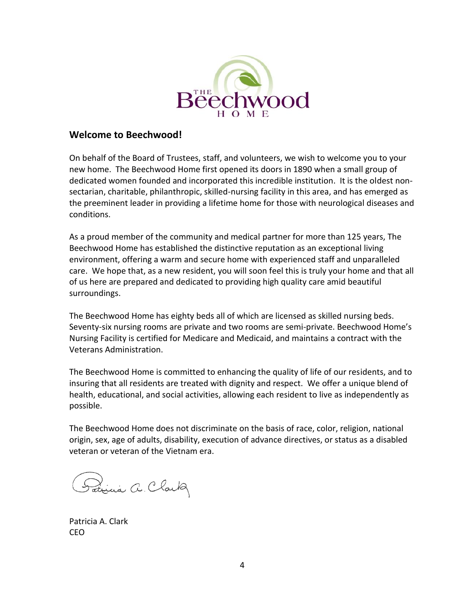

#### **Welcome to Beechwood!**

On behalf of the Board of Trustees, staff, and volunteers, we wish to welcome you to your new home. The Beechwood Home first opened its doors in 1890 when a small group of dedicated women founded and incorporated this incredible institution. It is the oldest nonsectarian, charitable, philanthropic, skilled-nursing facility in this area, and has emerged as the preeminent leader in providing a lifetime home for those with neurological diseases and conditions.

As a proud member of the community and medical partner for more than 125 years, The Beechwood Home has established the distinctive reputation as an exceptional living environment, offering a warm and secure home with experienced staff and unparalleled care. We hope that, as a new resident, you will soon feel this is truly your home and that all of us here are prepared and dedicated to providing high quality care amid beautiful surroundings.

The Beechwood Home has eighty beds all of which are licensed as skilled nursing beds. Seventy-six nursing rooms are private and two rooms are semi-private. Beechwood Home's Nursing Facility is certified for Medicare and Medicaid, and maintains a contract with the Veterans Administration.

The Beechwood Home is committed to enhancing the quality of life of our residents, and to insuring that all residents are treated with dignity and respect. We offer a unique blend of health, educational, and social activities, allowing each resident to live as independently as possible.

The Beechwood Home does not discriminate on the basis of race, color, religion, national origin, sex, age of adults, disability, execution of advance directives, or status as a disabled veteran or veteran of the Vietnam era.

Parina a Clark

Patricia A. Clark CEO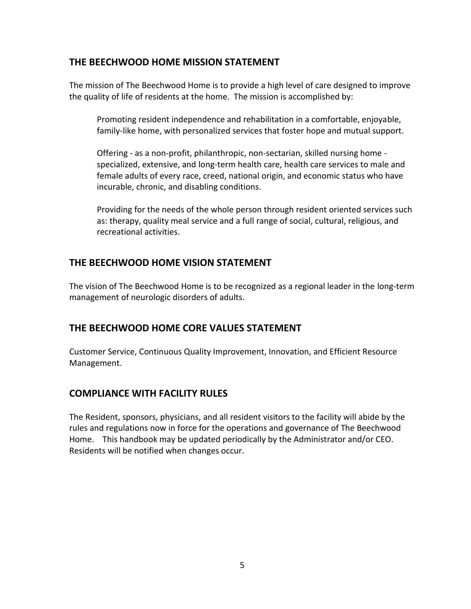#### **THE BEECHWOOD HOME MISSION STATEMENT**

The mission of The Beechwood Home is to provide a high level of care designed to improve the quality of life of residents at the home. The mission is accomplished by:

Promoting resident independence and rehabilitation in a comfortable, enjoyable, family-like home, with personalized services that foster hope and mutual support.

Offering - as a non-profit, philanthropic, non-sectarian, skilled nursing home specialized, extensive, and long-term health care, health care services to male and female adults of every race, creed, national origin, and economic status who have incurable, chronic, and disabling conditions.

Providing for the needs of the whole person through resident oriented services such as: therapy, quality meal service and a full range of social, cultural, religious, and recreational activities.

#### **THE BEECHWOOD HOME VISION STATEMENT**

The vision of The Beechwood Home is to be recognized as a regional leader in the long-term management of neurologic disorders of adults.

#### **THE BEECHWOOD HOME CORE VALUES STATEMENT**

Customer Service, Continuous Quality Improvement, Innovation, and Efficient Resource Management.

#### **COMPLIANCE WITH FACILITY RULES**

The Resident, sponsors, physicians, and all resident visitors to the facility will abide by the rules and regulations now in force for the operations and governance of The Beechwood Home. This handbook may be updated periodically by the Administrator and/or CEO. Residents will be notified when changes occur.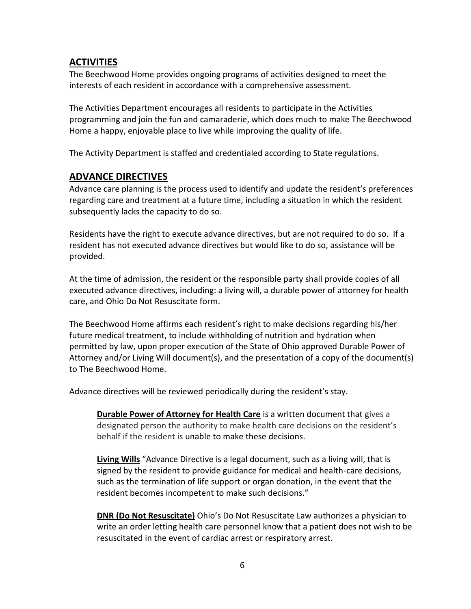#### **ACTIVITIES**

The Beechwood Home provides ongoing programs of activities designed to meet the interests of each resident in accordance with a comprehensive assessment.

The Activities Department encourages all residents to participate in the Activities programming and join the fun and camaraderie, which does much to make The Beechwood Home a happy, enjoyable place to live while improving the quality of life.

The Activity Department is staffed and credentialed according to State regulations.

#### **ADVANCE DIRECTIVES**

Advance care planning is the process used to identify and update the resident's preferences regarding care and treatment at a future time, including a situation in which the resident subsequently lacks the capacity to do so.

Residents have the right to execute advance directives, but are not required to do so. If a resident has not executed advance directives but would like to do so, assistance will be provided.

At the time of admission, the resident or the responsible party shall provide copies of all executed advance directives, including: a living will, a durable power of attorney for health care, and Ohio Do Not Resuscitate form.

The Beechwood Home affirms each resident's right to make decisions regarding his/her future medical treatment, to include withholding of nutrition and hydration when permitted by law, upon proper execution of the State of Ohio approved Durable Power of Attorney and/or Living Will document(s), and the presentation of a copy of the document(s) to The Beechwood Home.

Advance directives will be reviewed periodically during the resident's stay.

**Durable Power of Attorney for Health Care** is a written document that gives a designated person the authority to make health care decisions on the resident's behalf if the resident is unable to make these decisions.

**Living Wills** "Advance Directive is a legal document, such as a living will, that is signed by the resident to provide guidance for medical and health-care decisions, such as the termination of life support or organ donation, in the event that the resident becomes incompetent to make such decisions."

**DNR (Do Not Resuscitate)** Ohio's Do Not Resuscitate Law authorizes a physician to write an order letting health care personnel know that a patient does not wish to be resuscitated in the event of cardiac arrest or respiratory arrest.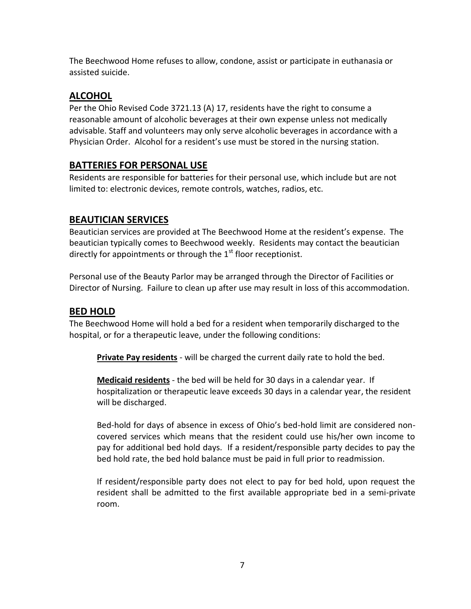The Beechwood Home refuses to allow, condone, assist or participate in euthanasia or assisted suicide.

#### **ALCOHOL**

Per the Ohio Revised Code 3721.13 (A) 17, residents have the right to consume a reasonable amount of alcoholic beverages at their own expense unless not medically advisable. Staff and volunteers may only serve alcoholic beverages in accordance with a Physician Order. Alcohol for a resident's use must be stored in the nursing station.

#### **BATTERIES FOR PERSONAL USE**

Residents are responsible for batteries for their personal use, which include but are not limited to: electronic devices, remote controls, watches, radios, etc.

#### **BEAUTICIAN SERVICES**

Beautician services are provided at The Beechwood Home at the resident's expense. The beautician typically comes to Beechwood weekly. Residents may contact the beautician directly for appointments or through the  $1<sup>st</sup>$  floor receptionist.

Personal use of the Beauty Parlor may be arranged through the Director of Facilities or Director of Nursing. Failure to clean up after use may result in loss of this accommodation.

#### **BED HOLD**

The Beechwood Home will hold a bed for a resident when temporarily discharged to the hospital, or for a therapeutic leave, under the following conditions:

**Private Pay residents** - will be charged the current daily rate to hold the bed.

**Medicaid residents** - the bed will be held for 30 days in a calendar year. If hospitalization or therapeutic leave exceeds 30 days in a calendar year, the resident will be discharged.

Bed-hold for days of absence in excess of Ohio's bed-hold limit are considered noncovered services which means that the resident could use his/her own income to pay for additional bed hold days. If a resident/responsible party decides to pay the bed hold rate, the bed hold balance must be paid in full prior to readmission.

If resident/responsible party does not elect to pay for bed hold, upon request the resident shall be admitted to the first available appropriate bed in a semi-private room.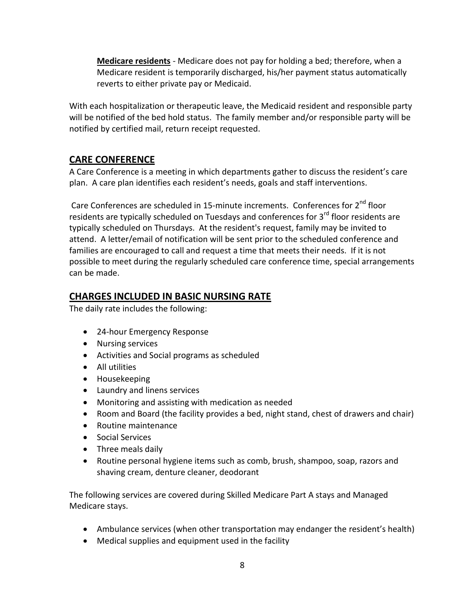**Medicare residents** - Medicare does not pay for holding a bed; therefore, when a Medicare resident is temporarily discharged, his/her payment status automatically reverts to either private pay or Medicaid.

With each hospitalization or therapeutic leave, the Medicaid resident and responsible party will be notified of the bed hold status. The family member and/or responsible party will be notified by certified mail, return receipt requested.

## **CARE CONFERENCE**

A Care Conference is a meeting in which departments gather to discuss the resident's care plan. A care plan identifies each resident's needs, goals and staff interventions.

Care Conferences are scheduled in 15-minute increments. Conferences for 2<sup>nd</sup> floor residents are typically scheduled on Tuesdays and conferences for 3<sup>rd</sup> floor residents are typically scheduled on Thursdays. At the resident's request, family may be invited to attend. A letter/email of notification will be sent prior to the scheduled conference and families are encouraged to call and request a time that meets their needs. If it is not possible to meet during the regularly scheduled care conference time, special arrangements can be made.

#### **CHARGES INCLUDED IN BASIC NURSING RATE**

The daily rate includes the following:

- 24-hour Emergency Response
- Nursing services
- Activities and Social programs as scheduled
- All utilities
- Housekeeping
- Laundry and linens services
- Monitoring and assisting with medication as needed
- Room and Board (the facility provides a bed, night stand, chest of drawers and chair)
- Routine maintenance
- Social Services
- Three meals daily
- Routine personal hygiene items such as comb, brush, shampoo, soap, razors and shaving cream, denture cleaner, deodorant

The following services are covered during Skilled Medicare Part A stays and Managed Medicare stays.

- Ambulance services (when other transportation may endanger the resident's health)
- Medical supplies and equipment used in the facility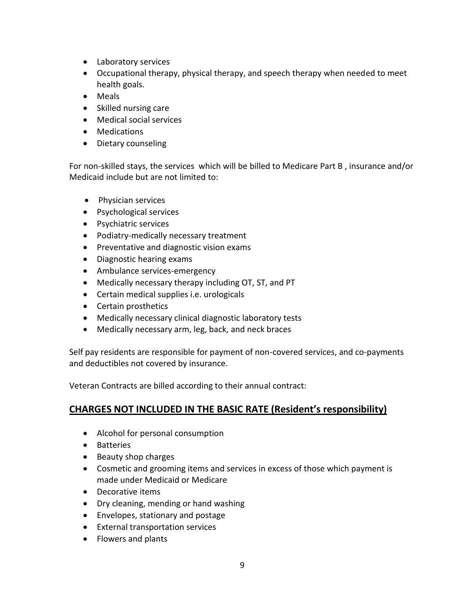- Laboratory services
- Occupational therapy, physical therapy, and speech therapy when needed to meet health goals.
- Meals
- Skilled nursing care
- Medical social services
- Medications
- Dietary counseling

For non-skilled stays, the services which will be billed to Medicare Part B , insurance and/or Medicaid include but are not limited to:

- Physician services
- Psychological services
- Psychiatric services
- Podiatry-medically necessary treatment
- Preventative and diagnostic vision exams
- Diagnostic hearing exams
- Ambulance services-emergency
- Medically necessary therapy including OT, ST, and PT
- Certain medical supplies i.e. urologicals
- Certain prosthetics
- Medically necessary clinical diagnostic laboratory tests
- Medically necessary arm, leg, back, and neck braces

Self pay residents are responsible for payment of non-covered services, and co-payments and deductibles not covered by insurance.

Veteran Contracts are billed according to their annual contract:

#### **CHARGES NOT INCLUDED IN THE BASIC RATE (Resident's responsibility)**

- Alcohol for personal consumption
- Batteries
- Beauty shop charges
- Cosmetic and grooming items and services in excess of those which payment is made under Medicaid or Medicare
- Decorative items
- Dry cleaning, mending or hand washing
- Envelopes, stationary and postage
- External transportation services
- Flowers and plants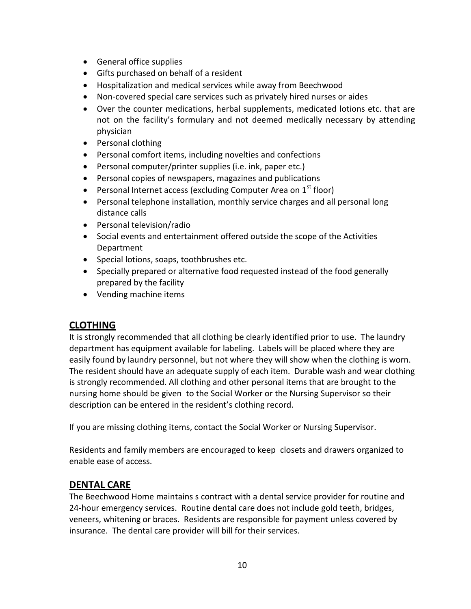- General office supplies
- Gifts purchased on behalf of a resident
- Hospitalization and medical services while away from Beechwood
- Non-covered special care services such as privately hired nurses or aides
- Over the counter medications, herbal supplements, medicated lotions etc. that are not on the facility's formulary and not deemed medically necessary by attending physician
- Personal clothing
- Personal comfort items, including novelties and confections
- Personal computer/printer supplies (i.e. ink, paper etc.)
- Personal copies of newspapers, magazines and publications
- **•** Personal Internet access (excluding Computer Area on  $1<sup>st</sup>$  floor)
- Personal telephone installation, monthly service charges and all personal long distance calls
- Personal television/radio
- Social events and entertainment offered outside the scope of the Activities Department
- Special lotions, soaps, toothbrushes etc.
- Specially prepared or alternative food requested instead of the food generally prepared by the facility
- Vending machine items

#### **CLOTHING**

It is strongly recommended that all clothing be clearly identified prior to use. The laundry department has equipment available for labeling. Labels will be placed where they are easily found by laundry personnel, but not where they will show when the clothing is worn. The resident should have an adequate supply of each item. Durable wash and wear clothing is strongly recommended. All clothing and other personal items that are brought to the nursing home should be given to the Social Worker or the Nursing Supervisor so their description can be entered in the resident's clothing record.

If you are missing clothing items, contact the Social Worker or Nursing Supervisor.

Residents and family members are encouraged to keep closets and drawers organized to enable ease of access.

#### **DENTAL CARE**

The Beechwood Home maintains s contract with a dental service provider for routine and 24-hour emergency services. Routine dental care does not include gold teeth, bridges, veneers, whitening or braces. Residents are responsible for payment unless covered by insurance. The dental care provider will bill for their services.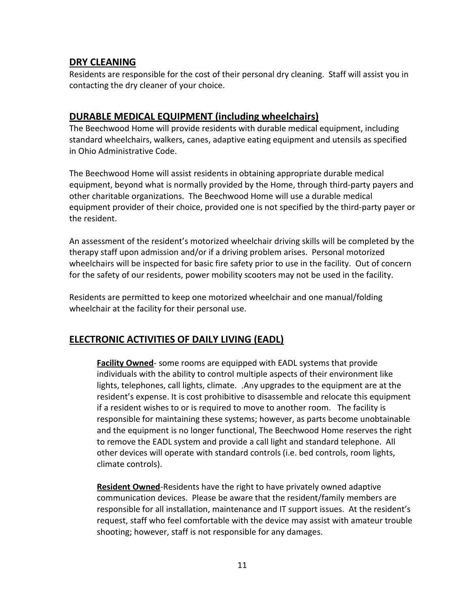#### **DRY CLEANING**

Residents are responsible for the cost of their personal dry cleaning. Staff will assist you in contacting the dry cleaner of your choice.

#### **DURABLE MEDICAL EQUIPMENT (including wheelchairs)**

The Beechwood Home will provide residents with durable medical equipment, including standard wheelchairs, walkers, canes, adaptive eating equipment and utensils as specified in Ohio Administrative Code.

The Beechwood Home will assist residents in obtaining appropriate durable medical equipment, beyond what is normally provided by the Home, through third-party payers and other charitable organizations. The Beechwood Home will use a durable medical equipment provider of their choice, provided one is not specified by the third-party payer or the resident.

An assessment of the resident's motorized wheelchair driving skills will be completed by the therapy staff upon admission and/or if a driving problem arises. Personal motorized wheelchairs will be inspected for basic fire safety prior to use in the facility. Out of concern for the safety of our residents, power mobility scooters may not be used in the facility.

Residents are permitted to keep one motorized wheelchair and one manual/folding wheelchair at the facility for their personal use.

#### **ELECTRONIC ACTIVITIES OF DAILY LIVING (EADL)**

**Facility Owned**- some rooms are equipped with EADL systems that provide individuals with the ability to control multiple aspects of their environment like lights, telephones, call lights, climate. ,Any upgrades to the equipment are at the resident's expense. It is cost prohibitive to disassemble and relocate this equipment if a resident wishes to or is required to move to another room. The facility is responsible for maintaining these systems; however, as parts become unobtainable and the equipment is no longer functional, The Beechwood Home reserves the right to remove the EADL system and provide a call light and standard telephone. All other devices will operate with standard controls (i.e. bed controls, room lights, climate controls).

**Resident Owned**-Residents have the right to have privately owned adaptive communication devices. Please be aware that the resident/family members are responsible for all installation, maintenance and IT support issues. At the resident's request, staff who feel comfortable with the device may assist with amateur trouble shooting; however, staff is not responsible for any damages.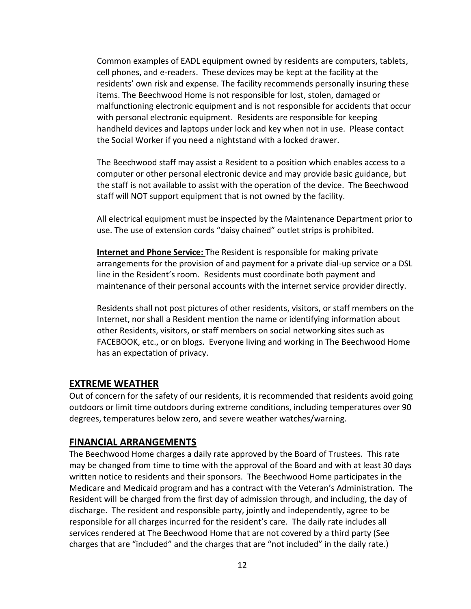Common examples of EADL equipment owned by residents are computers, tablets, cell phones, and e-readers. These devices may be kept at the facility at the residents' own risk and expense. The facility recommends personally insuring these items. The Beechwood Home is not responsible for lost, stolen, damaged or malfunctioning electronic equipment and is not responsible for accidents that occur with personal electronic equipment. Residents are responsible for keeping handheld devices and laptops under lock and key when not in use. Please contact the Social Worker if you need a nightstand with a locked drawer.

The Beechwood staff may assist a Resident to a position which enables access to a computer or other personal electronic device and may provide basic guidance, but the staff is not available to assist with the operation of the device. The Beechwood staff will NOT support equipment that is not owned by the facility.

All electrical equipment must be inspected by the Maintenance Department prior to use. The use of extension cords "daisy chained" outlet strips is prohibited.

**Internet and Phone Service:** The Resident is responsible for making private arrangements for the provision of and payment for a private dial-up service or a DSL line in the Resident's room. Residents must coordinate both payment and maintenance of their personal accounts with the internet service provider directly.

Residents shall not post pictures of other residents, visitors, or staff members on the Internet, nor shall a Resident mention the name or identifying information about other Residents, visitors, or staff members on social networking sites such as FACEBOOK, etc., or on blogs. Everyone living and working in The Beechwood Home has an expectation of privacy.

#### **EXTREME WEATHER**

Out of concern for the safety of our residents, it is recommended that residents avoid going outdoors or limit time outdoors during extreme conditions, including temperatures over 90 degrees, temperatures below zero, and severe weather watches/warning.

#### **FINANCIAL ARRANGEMENTS**

The Beechwood Home charges a daily rate approved by the Board of Trustees. This rate may be changed from time to time with the approval of the Board and with at least 30 days written notice to residents and their sponsors. The Beechwood Home participates in the Medicare and Medicaid program and has a contract with the Veteran's Administration. The Resident will be charged from the first day of admission through, and including, the day of discharge. The resident and responsible party, jointly and independently, agree to be responsible for all charges incurred for the resident's care. The daily rate includes all services rendered at The Beechwood Home that are not covered by a third party (See charges that are "included" and the charges that are "not included" in the daily rate.)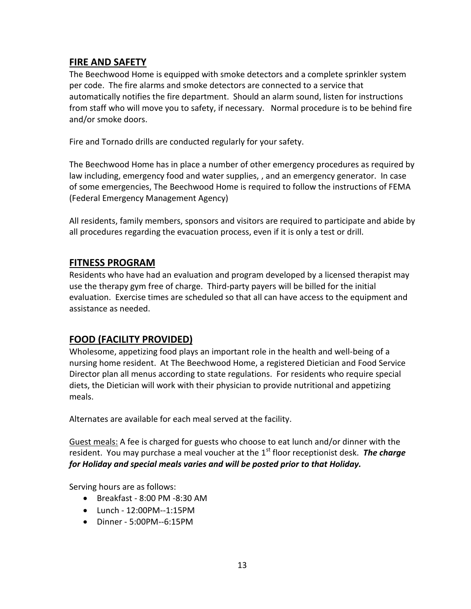#### **FIRE AND SAFETY**

The Beechwood Home is equipped with smoke detectors and a complete sprinkler system per code. The fire alarms and smoke detectors are connected to a service that automatically notifies the fire department. Should an alarm sound, listen for instructions from staff who will move you to safety, if necessary. Normal procedure is to be behind fire and/or smoke doors.

Fire and Tornado drills are conducted regularly for your safety.

The Beechwood Home has in place a number of other emergency procedures as required by law including, emergency food and water supplies, , and an emergency generator. In case of some emergencies, The Beechwood Home is required to follow the instructions of FEMA (Federal Emergency Management Agency)

All residents, family members, sponsors and visitors are required to participate and abide by all procedures regarding the evacuation process, even if it is only a test or drill.

#### **FITNESS PROGRAM**

Residents who have had an evaluation and program developed by a licensed therapist may use the therapy gym free of charge. Third-party payers will be billed for the initial evaluation. Exercise times are scheduled so that all can have access to the equipment and assistance as needed.

#### **FOOD (FACILITY PROVIDED)**

Wholesome, appetizing food plays an important role in the health and well-being of a nursing home resident. At The Beechwood Home, a registered Dietician and Food Service Director plan all menus according to state regulations. For residents who require special diets, the Dietician will work with their physician to provide nutritional and appetizing meals.

Alternates are available for each meal served at the facility.

Guest meals: A fee is charged for guests who choose to eat lunch and/or dinner with the resident. You may purchase a meal voucher at the 1<sup>st</sup> floor receptionist desk. The charge *for Holiday and special meals varies and will be posted prior to that Holiday.*

Serving hours are as follows:

- $\bullet$  Breakfast 8:00 PM -8:30 AM
- Lunch 12:00PM--1:15PM
- Dinner 5:00PM--6:15PM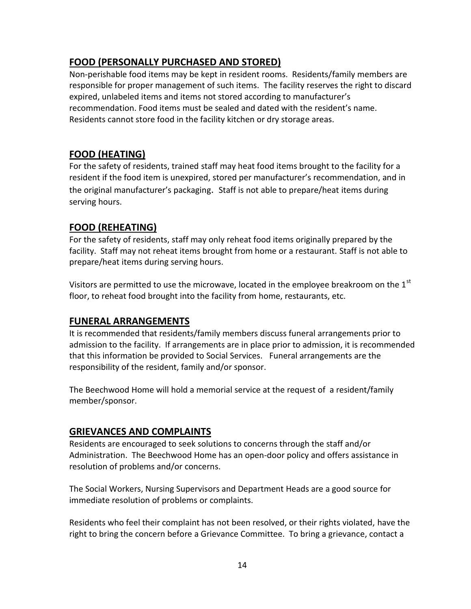#### **FOOD (PERSONALLY PURCHASED AND STORED)**

Non-perishable food items may be kept in resident rooms. Residents/family members are responsible for proper management of such items. The facility reserves the right to discard expired, unlabeled items and items not stored according to manufacturer's recommendation. Food items must be sealed and dated with the resident's name. Residents cannot store food in the facility kitchen or dry storage areas.

#### **FOOD (HEATING)**

For the safety of residents, trained staff may heat food items brought to the facility for a resident if the food item is unexpired, stored per manufacturer's recommendation, and in the original manufacturer's packaging. Staff is not able to prepare/heat items during serving hours.

#### **FOOD (REHEATING)**

For the safety of residents, staff may only reheat food items originally prepared by the facility. Staff may not reheat items brought from home or a restaurant. Staff is not able to prepare/heat items during serving hours.

Visitors are permitted to use the microwave, located in the employee breakroom on the  $1<sup>st</sup>$ floor, to reheat food brought into the facility from home, restaurants, etc.

#### **FUNERAL ARRANGEMENTS**

It is recommended that residents/family members discuss funeral arrangements prior to admission to the facility. If arrangements are in place prior to admission, it is recommended that this information be provided to Social Services. Funeral arrangements are the responsibility of the resident, family and/or sponsor.

The Beechwood Home will hold a memorial service at the request of a resident/family member/sponsor.

#### **GRIEVANCES AND COMPLAINTS**

Residents are encouraged to seek solutions to concerns through the staff and/or Administration. The Beechwood Home has an open-door policy and offers assistance in resolution of problems and/or concerns.

The Social Workers, Nursing Supervisors and Department Heads are a good source for immediate resolution of problems or complaints.

Residents who feel their complaint has not been resolved, or their rights violated, have the right to bring the concern before a Grievance Committee. To bring a grievance, contact a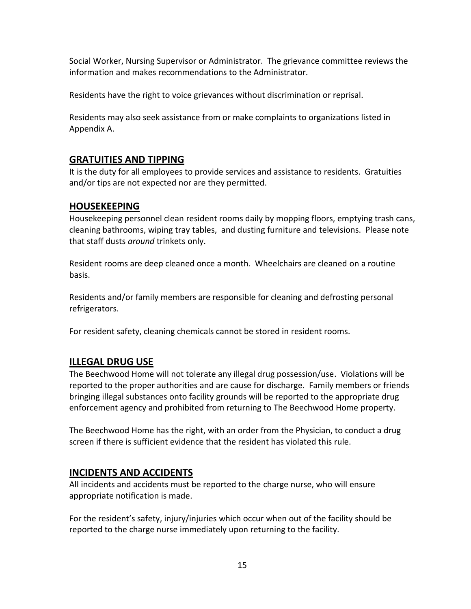Social Worker, Nursing Supervisor or Administrator. The grievance committee reviews the information and makes recommendations to the Administrator.

Residents have the right to voice grievances without discrimination or reprisal.

Residents may also seek assistance from or make complaints to organizations listed in Appendix A.

#### **GRATUITIES AND TIPPING**

It is the duty for all employees to provide services and assistance to residents. Gratuities and/or tips are not expected nor are they permitted.

#### **HOUSEKEEPING**

Housekeeping personnel clean resident rooms daily by mopping floors, emptying trash cans, cleaning bathrooms, wiping tray tables, and dusting furniture and televisions. Please note that staff dusts *around* trinkets only.

Resident rooms are deep cleaned once a month. Wheelchairs are cleaned on a routine basis.

Residents and/or family members are responsible for cleaning and defrosting personal refrigerators.

For resident safety, cleaning chemicals cannot be stored in resident rooms.

#### **ILLEGAL DRUG USE**

The Beechwood Home will not tolerate any illegal drug possession/use. Violations will be reported to the proper authorities and are cause for discharge. Family members or friends bringing illegal substances onto facility grounds will be reported to the appropriate drug enforcement agency and prohibited from returning to The Beechwood Home property.

The Beechwood Home has the right, with an order from the Physician, to conduct a drug screen if there is sufficient evidence that the resident has violated this rule.

## **INCIDENTS AND ACCIDENTS**

All incidents and accidents must be reported to the charge nurse, who will ensure appropriate notification is made.

For the resident's safety, injury/injuries which occur when out of the facility should be reported to the charge nurse immediately upon returning to the facility.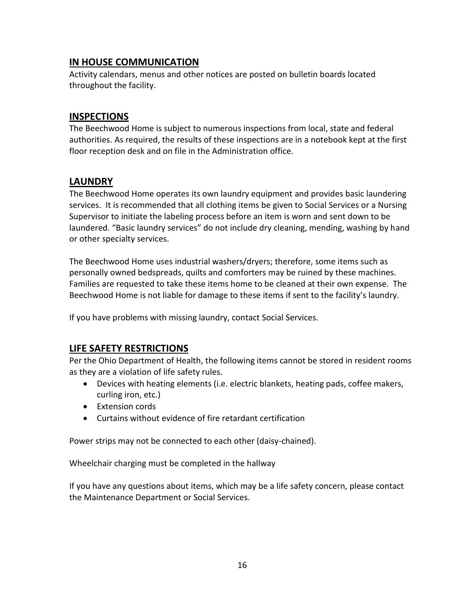#### **IN HOUSE COMMUNICATION**

Activity calendars, menus and other notices are posted on bulletin boards located throughout the facility.

#### **INSPECTIONS**

The Beechwood Home is subject to numerous inspections from local, state and federal authorities. As required, the results of these inspections are in a notebook kept at the first floor reception desk and on file in the Administration office.

#### **LAUNDRY**

The Beechwood Home operates its own laundry equipment and provides basic laundering services. It is recommended that all clothing items be given to Social Services or a Nursing Supervisor to initiate the labeling process before an item is worn and sent down to be laundered. "Basic laundry services" do not include dry cleaning, mending, washing by hand or other specialty services.

The Beechwood Home uses industrial washers/dryers; therefore, some items such as personally owned bedspreads, quilts and comforters may be ruined by these machines. Families are requested to take these items home to be cleaned at their own expense. The Beechwood Home is not liable for damage to these items if sent to the facility's laundry.

If you have problems with missing laundry, contact Social Services.

#### **LIFE SAFETY RESTRICTIONS**

Per the Ohio Department of Health, the following items cannot be stored in resident rooms as they are a violation of life safety rules.

- Devices with heating elements (i.e. electric blankets, heating pads, coffee makers, curling iron, etc.)
- Extension cords
- Curtains without evidence of fire retardant certification

Power strips may not be connected to each other (daisy-chained).

Wheelchair charging must be completed in the hallway

If you have any questions about items, which may be a life safety concern, please contact the Maintenance Department or Social Services.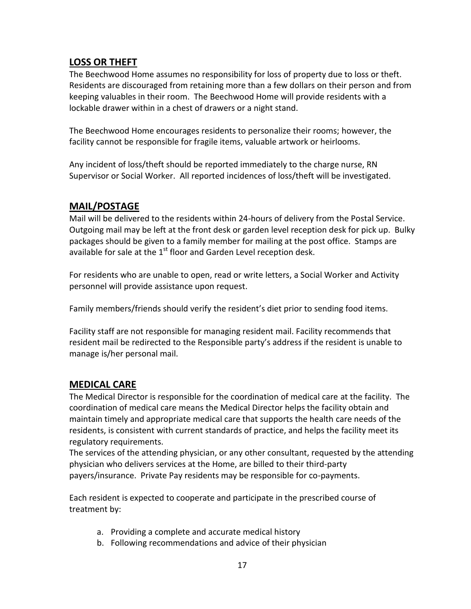#### **LOSS OR THEFT**

The Beechwood Home assumes no responsibility for loss of property due to loss or theft. Residents are discouraged from retaining more than a few dollars on their person and from keeping valuables in their room. The Beechwood Home will provide residents with a lockable drawer within in a chest of drawers or a night stand.

The Beechwood Home encourages residents to personalize their rooms; however, the facility cannot be responsible for fragile items, valuable artwork or heirlooms.

Any incident of loss/theft should be reported immediately to the charge nurse, RN Supervisor or Social Worker. All reported incidences of loss/theft will be investigated.

#### **MAIL/POSTAGE**

Mail will be delivered to the residents within 24-hours of delivery from the Postal Service. Outgoing mail may be left at the front desk or garden level reception desk for pick up. Bulky packages should be given to a family member for mailing at the post office. Stamps are available for sale at the  $1<sup>st</sup>$  floor and Garden Level reception desk.

For residents who are unable to open, read or write letters, a Social Worker and Activity personnel will provide assistance upon request.

Family members/friends should verify the resident's diet prior to sending food items.

Facility staff are not responsible for managing resident mail. Facility recommends that resident mail be redirected to the Responsible party's address if the resident is unable to manage is/her personal mail.

#### **MEDICAL CARE**

The Medical Director is responsible for the coordination of medical care at the facility. The coordination of medical care means the Medical Director helps the facility obtain and maintain timely and appropriate medical care that supports the health care needs of the residents, is consistent with current standards of practice, and helps the facility meet its regulatory requirements.

The services of the attending physician, or any other consultant, requested by the attending physician who delivers services at the Home, are billed to their third-party payers/insurance. Private Pay residents may be responsible for co-payments.

Each resident is expected to cooperate and participate in the prescribed course of treatment by:

- a. Providing a complete and accurate medical history
- b. Following recommendations and advice of their physician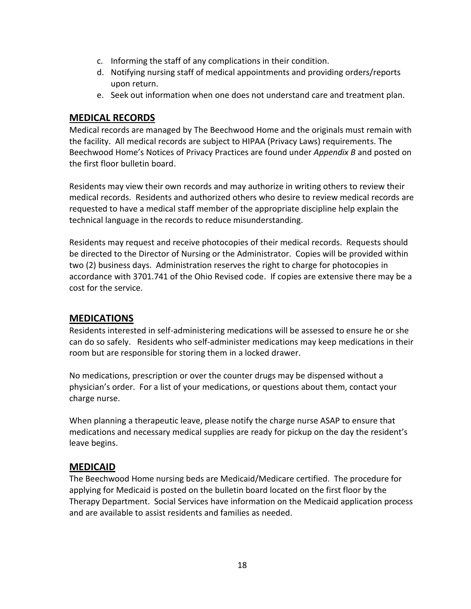- c. Informing the staff of any complications in their condition.
- d. Notifying nursing staff of medical appointments and providing orders/reports upon return.
- e. Seek out information when one does not understand care and treatment plan.

#### **MEDICAL RECORDS**

Medical records are managed by The Beechwood Home and the originals must remain with the facility. All medical records are subject to HIPAA (Privacy Laws) requirements. The Beechwood Home's Notices of Privacy Practices are found under *Appendix B* and posted on the first floor bulletin board.

Residents may view their own records and may authorize in writing others to review their medical records. Residents and authorized others who desire to review medical records are requested to have a medical staff member of the appropriate discipline help explain the technical language in the records to reduce misunderstanding.

Residents may request and receive photocopies of their medical records. Requests should be directed to the Director of Nursing or the Administrator. Copies will be provided within two (2) business days. Administration reserves the right to charge for photocopies in accordance with 3701.741 of the Ohio Revised code. If copies are extensive there may be a cost for the service.

#### **MEDICATIONS**

Residents interested in self-administering medications will be assessed to ensure he or she can do so safely. Residents who self-administer medications may keep medications in their room but are responsible for storing them in a locked drawer.

No medications, prescription or over the counter drugs may be dispensed without a physician's order. For a list of your medications, or questions about them, contact your charge nurse.

When planning a therapeutic leave, please notify the charge nurse ASAP to ensure that medications and necessary medical supplies are ready for pickup on the day the resident's leave begins.

#### **MEDICAID**

The Beechwood Home nursing beds are Medicaid/Medicare certified. The procedure for applying for Medicaid is posted on the bulletin board located on the first floor by the Therapy Department. Social Services have information on the Medicaid application process and are available to assist residents and families as needed.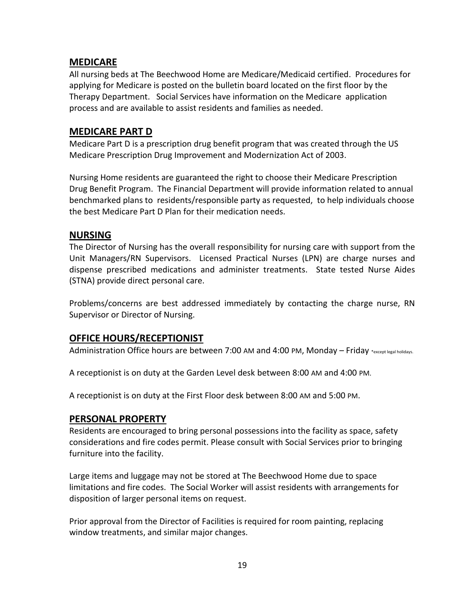#### **MEDICARE**

All nursing beds at The Beechwood Home are Medicare/Medicaid certified. Procedures for applying for Medicare is posted on the bulletin board located on the first floor by the Therapy Department. Social Services have information on the Medicare application process and are available to assist residents and families as needed.

#### **MEDICARE PART D**

Medicare Part D is a prescription drug benefit program that was created through the US Medicare Prescription Drug Improvement and Modernization Act of 2003.

Nursing Home residents are guaranteed the right to choose their Medicare Prescription Drug Benefit Program. The Financial Department will provide information related to annual benchmarked plans to residents/responsible party as requested, to help individuals choose the best Medicare Part D Plan for their medication needs.

#### **NURSING**

The Director of Nursing has the overall responsibility for nursing care with support from the Unit Managers/RN Supervisors. Licensed Practical Nurses (LPN) are charge nurses and dispense prescribed medications and administer treatments. State tested Nurse Aides (STNA) provide direct personal care.

Problems/concerns are best addressed immediately by contacting the charge nurse, RN Supervisor or Director of Nursing.

#### **OFFICE HOURS/RECEPTIONIST**

Administration Office hours are between 7:00 AM and 4:00 PM, Monday - Friday \*except legal holidays.

A receptionist is on duty at the Garden Level desk between 8:00 AM and 4:00 PM.

A receptionist is on duty at the First Floor desk between 8:00 AM and 5:00 PM.

#### **PERSONAL PROPERTY**

Residents are encouraged to bring personal possessions into the facility as space, safety considerations and fire codes permit. Please consult with Social Services prior to bringing furniture into the facility.

Large items and luggage may not be stored at The Beechwood Home due to space limitations and fire codes. The Social Worker will assist residents with arrangements for disposition of larger personal items on request.

Prior approval from the Director of Facilities is required for room painting, replacing window treatments, and similar major changes.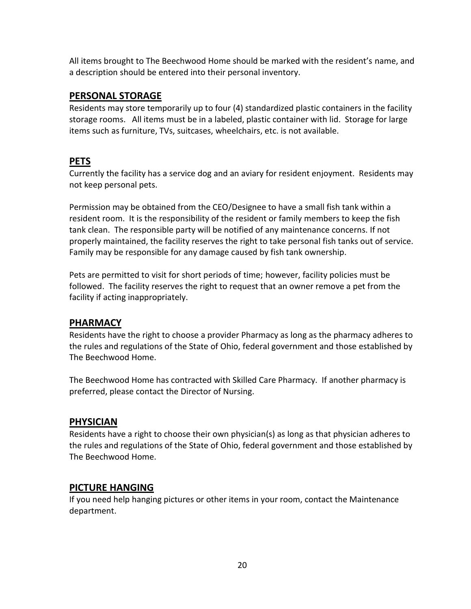All items brought to The Beechwood Home should be marked with the resident's name, and a description should be entered into their personal inventory.

#### **PERSONAL STORAGE**

Residents may store temporarily up to four (4) standardized plastic containers in the facility storage rooms. All items must be in a labeled, plastic container with lid. Storage for large items such as furniture, TVs, suitcases, wheelchairs, etc. is not available.

#### **PETS**

Currently the facility has a service dog and an aviary for resident enjoyment. Residents may not keep personal pets.

Permission may be obtained from the CEO/Designee to have a small fish tank within a resident room. It is the responsibility of the resident or family members to keep the fish tank clean. The responsible party will be notified of any maintenance concerns. If not properly maintained, the facility reserves the right to take personal fish tanks out of service. Family may be responsible for any damage caused by fish tank ownership.

Pets are permitted to visit for short periods of time; however, facility policies must be followed. The facility reserves the right to request that an owner remove a pet from the facility if acting inappropriately.

#### **PHARMACY**

Residents have the right to choose a provider Pharmacy as long as the pharmacy adheres to the rules and regulations of the State of Ohio, federal government and those established by The Beechwood Home.

The Beechwood Home has contracted with Skilled Care Pharmacy. If another pharmacy is preferred, please contact the Director of Nursing.

#### **PHYSICIAN**

Residents have a right to choose their own physician(s) as long as that physician adheres to the rules and regulations of the State of Ohio, federal government and those established by The Beechwood Home.

#### **PICTURE HANGING**

If you need help hanging pictures or other items in your room, contact the Maintenance department.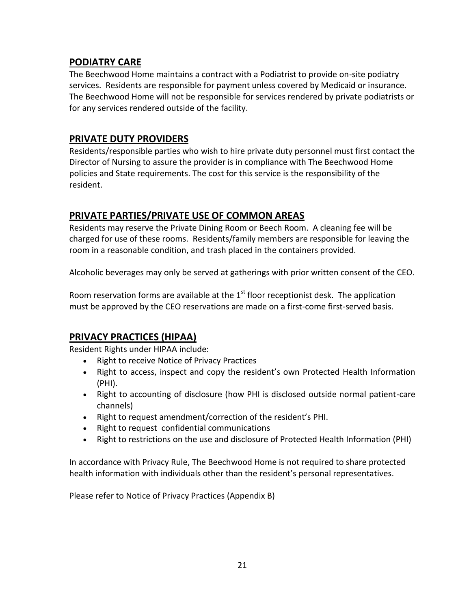#### **PODIATRY CARE**

The Beechwood Home maintains a contract with a Podiatrist to provide on-site podiatry services. Residents are responsible for payment unless covered by Medicaid or insurance. The Beechwood Home will not be responsible for services rendered by private podiatrists or for any services rendered outside of the facility.

#### **PRIVATE DUTY PROVIDERS**

Residents/responsible parties who wish to hire private duty personnel must first contact the Director of Nursing to assure the provider is in compliance with The Beechwood Home policies and State requirements. The cost for this service is the responsibility of the resident.

#### **PRIVATE PARTIES/PRIVATE USE OF COMMON AREAS**

Residents may reserve the Private Dining Room or Beech Room. A cleaning fee will be charged for use of these rooms. Residents/family members are responsible for leaving the room in a reasonable condition, and trash placed in the containers provided.

Alcoholic beverages may only be served at gatherings with prior written consent of the CEO.

Room reservation forms are available at the  $1<sup>st</sup>$  floor receptionist desk. The application must be approved by the CEO reservations are made on a first-come first-served basis.

#### **PRIVACY PRACTICES (HIPAA)**

Resident Rights under HIPAA include:

- Right to receive Notice of Privacy Practices
- Right to access, inspect and copy the resident's own Protected Health Information (PHI).
- Right to accounting of disclosure (how PHI is disclosed outside normal patient-care channels)
- Right to request amendment/correction of the resident's PHI.
- Right to request confidential communications
- Right to restrictions on the use and disclosure of Protected Health Information (PHI)

In accordance with Privacy Rule, The Beechwood Home is not required to share protected health information with individuals other than the resident's personal representatives.

Please refer to Notice of Privacy Practices (Appendix B)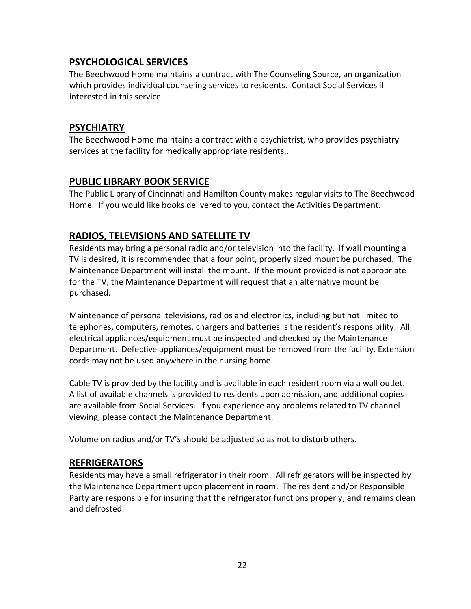#### **PSYCHOLOGICAL SERVICES**

The Beechwood Home maintains a contract with The Counseling Source, an organization which provides individual counseling services to residents. Contact Social Services if interested in this service.

#### **PSYCHIATRY**

The Beechwood Home maintains a contract with a psychiatrist, who provides psychiatry services at the facility for medically appropriate residents..

#### **PUBLIC LIBRARY BOOK SERVICE**

The Public Library of Cincinnati and Hamilton County makes regular visits to The Beechwood Home. If you would like books delivered to you, contact the Activities Department.

#### **RADIOS, TELEVISIONS AND SATELLITE TV**

Residents may bring a personal radio and/or television into the facility. If wall mounting a TV is desired, it is recommended that a four point, properly sized mount be purchased. The Maintenance Department will install the mount. If the mount provided is not appropriate for the TV, the Maintenance Department will request that an alternative mount be purchased.

Maintenance of personal televisions, radios and electronics, including but not limited to telephones, computers, remotes, chargers and batteries is the resident's responsibility. All electrical appliances/equipment must be inspected and checked by the Maintenance Department. Defective appliances/equipment must be removed from the facility. Extension cords may not be used anywhere in the nursing home.

Cable TV is provided by the facility and is available in each resident room via a wall outlet. A list of available channels is provided to residents upon admission, and additional copies are available from Social Services. If you experience any problems related to TV channel viewing, please contact the Maintenance Department.

Volume on radios and/or TV's should be adjusted so as not to disturb others.

#### **REFRIGERATORS**

Residents may have a small refrigerator in their room. All refrigerators will be inspected by the Maintenance Department upon placement in room. The resident and/or Responsible Party are responsible for insuring that the refrigerator functions properly, and remains clean and defrosted.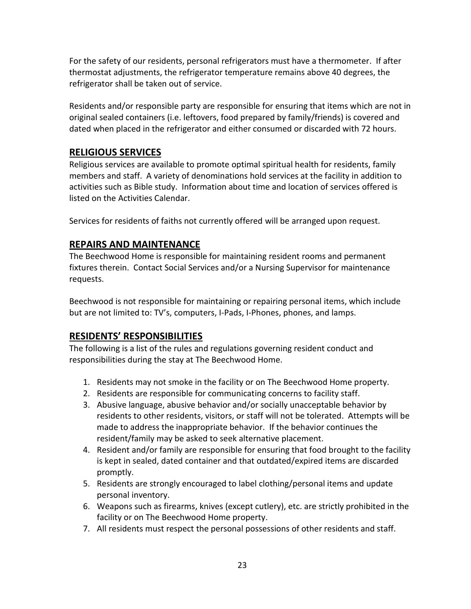For the safety of our residents, personal refrigerators must have a thermometer. If after thermostat adjustments, the refrigerator temperature remains above 40 degrees, the refrigerator shall be taken out of service.

Residents and/or responsible party are responsible for ensuring that items which are not in original sealed containers (i.e. leftovers, food prepared by family/friends) is covered and dated when placed in the refrigerator and either consumed or discarded with 72 hours.

#### **RELIGIOUS SERVICES**

Religious services are available to promote optimal spiritual health for residents, family members and staff. A variety of denominations hold services at the facility in addition to activities such as Bible study. Information about time and location of services offered is listed on the Activities Calendar.

Services for residents of faiths not currently offered will be arranged upon request.

#### **REPAIRS AND MAINTENANCE**

The Beechwood Home is responsible for maintaining resident rooms and permanent fixtures therein. Contact Social Services and/or a Nursing Supervisor for maintenance requests.

Beechwood is not responsible for maintaining or repairing personal items, which include but are not limited to: TV's, computers, I-Pads, I-Phones, phones, and lamps.

#### **RESIDENTS' RESPONSIBILITIES**

The following is a list of the rules and regulations governing resident conduct and responsibilities during the stay at The Beechwood Home.

- 1. Residents may not smoke in the facility or on The Beechwood Home property.
- 2. Residents are responsible for communicating concerns to facility staff.
- 3. Abusive language, abusive behavior and/or socially unacceptable behavior by residents to other residents, visitors, or staff will not be tolerated. Attempts will be made to address the inappropriate behavior. If the behavior continues the resident/family may be asked to seek alternative placement.
- 4. Resident and/or family are responsible for ensuring that food brought to the facility is kept in sealed, dated container and that outdated/expired items are discarded promptly.
- 5. Residents are strongly encouraged to label clothing/personal items and update personal inventory.
- 6. Weapons such as firearms, knives (except cutlery), etc. are strictly prohibited in the facility or on The Beechwood Home property.
- 7. All residents must respect the personal possessions of other residents and staff.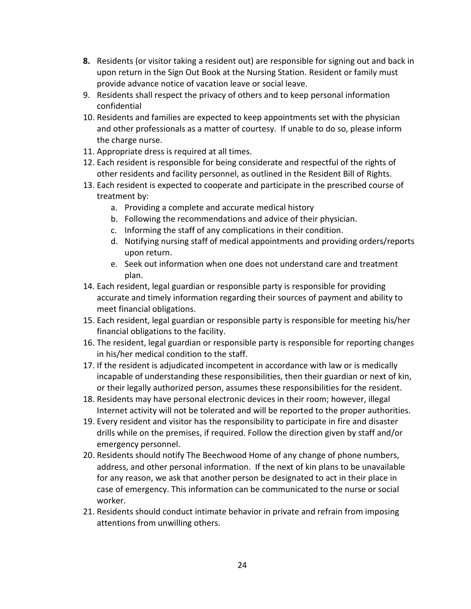- **8.** Residents (or visitor taking a resident out) are responsible for signing out and back in upon return in the Sign Out Book at the Nursing Station. Resident or family must provide advance notice of vacation leave or social leave.
- 9. Residents shall respect the privacy of others and to keep personal information confidential
- 10. Residents and families are expected to keep appointments set with the physician and other professionals as a matter of courtesy. If unable to do so, please inform the charge nurse.
- 11. Appropriate dress is required at all times.
- 12. Each resident is responsible for being considerate and respectful of the rights of other residents and facility personnel, as outlined in the Resident Bill of Rights.
- 13. Each resident is expected to cooperate and participate in the prescribed course of treatment by:
	- a. Providing a complete and accurate medical history
	- b. Following the recommendations and advice of their physician.
	- c. Informing the staff of any complications in their condition.
	- d. Notifying nursing staff of medical appointments and providing orders/reports upon return.
	- e. Seek out information when one does not understand care and treatment plan.
- 14. Each resident, legal guardian or responsible party is responsible for providing accurate and timely information regarding their sources of payment and ability to meet financial obligations.
- 15. Each resident, legal guardian or responsible party is responsible for meeting his/her financial obligations to the facility.
- 16. The resident, legal guardian or responsible party is responsible for reporting changes in his/her medical condition to the staff.
- 17. If the resident is adjudicated incompetent in accordance with law or is medically incapable of understanding these responsibilities, then their guardian or next of kin, or their legally authorized person, assumes these responsibilities for the resident.
- 18. Residents may have personal electronic devices in their room; however, illegal Internet activity will not be tolerated and will be reported to the proper authorities.
- 19. Every resident and visitor has the responsibility to participate in fire and disaster drills while on the premises, if required. Follow the direction given by staff and/or emergency personnel.
- 20. Residents should notify The Beechwood Home of any change of phone numbers, address, and other personal information. If the next of kin plans to be unavailable for any reason, we ask that another person be designated to act in their place in case of emergency. This information can be communicated to the nurse or social worker.
- 21. Residents should conduct intimate behavior in private and refrain from imposing attentions from unwilling others.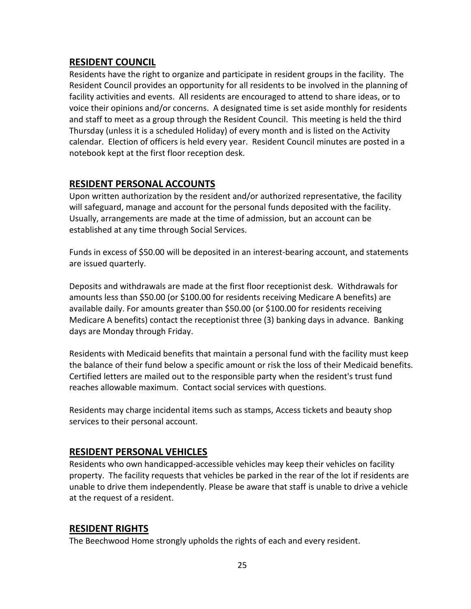#### **RESIDENT COUNCIL**

Residents have the right to organize and participate in resident groups in the facility. The Resident Council provides an opportunity for all residents to be involved in the planning of facility activities and events. All residents are encouraged to attend to share ideas, or to voice their opinions and/or concerns. A designated time is set aside monthly for residents and staff to meet as a group through the Resident Council. This meeting is held the third Thursday (unless it is a scheduled Holiday) of every month and is listed on the Activity calendar. Election of officers is held every year. Resident Council minutes are posted in a notebook kept at the first floor reception desk.

#### **RESIDENT PERSONAL ACCOUNTS**

Upon written authorization by the resident and/or authorized representative, the facility will safeguard, manage and account for the personal funds deposited with the facility. Usually, arrangements are made at the time of admission, but an account can be established at any time through Social Services.

Funds in excess of \$50.00 will be deposited in an interest-bearing account, and statements are issued quarterly.

Deposits and withdrawals are made at the first floor receptionist desk. Withdrawals for amounts less than \$50.00 (or \$100.00 for residents receiving Medicare A benefits) are available daily. For amounts greater than \$50.00 (or \$100.00 for residents receiving Medicare A benefits) contact the receptionist three (3) banking days in advance. Banking days are Monday through Friday.

Residents with Medicaid benefits that maintain a personal fund with the facility must keep the balance of their fund below a specific amount or risk the loss of their Medicaid benefits. Certified letters are mailed out to the responsible party when the resident's trust fund reaches allowable maximum. Contact social services with questions.

Residents may charge incidental items such as stamps, Access tickets and beauty shop services to their personal account.

#### **RESIDENT PERSONAL VEHICLES**

Residents who own handicapped-accessible vehicles may keep their vehicles on facility property. The facility requests that vehicles be parked in the rear of the lot if residents are unable to drive them independently. Please be aware that staff is unable to drive a vehicle at the request of a resident.

#### **RESIDENT RIGHTS**

The Beechwood Home strongly upholds the rights of each and every resident.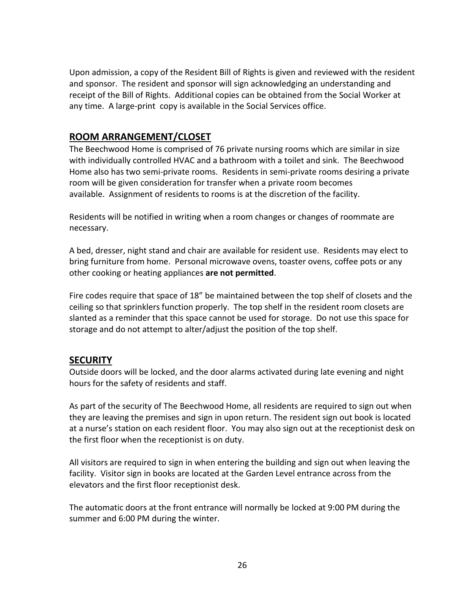Upon admission, a copy of the Resident Bill of Rights is given and reviewed with the resident and sponsor. The resident and sponsor will sign acknowledging an understanding and receipt of the Bill of Rights. Additional copies can be obtained from the Social Worker at any time. A large-print copy is available in the Social Services office.

#### **ROOM ARRANGEMENT/CLOSET**

The Beechwood Home is comprised of 76 private nursing rooms which are similar in size with individually controlled HVAC and a bathroom with a toilet and sink. The Beechwood Home also has two semi-private rooms. Residents in semi-private rooms desiring a private room will be given consideration for transfer when a private room becomes available. Assignment of residents to rooms is at the discretion of the facility.

Residents will be notified in writing when a room changes or changes of roommate are necessary.

A bed, dresser, night stand and chair are available for resident use. Residents may elect to bring furniture from home. Personal microwave ovens, toaster ovens, coffee pots or any other cooking or heating appliances **are not permitted**.

Fire codes require that space of 18" be maintained between the top shelf of closets and the ceiling so that sprinklers function properly. The top shelf in the resident room closets are slanted as a reminder that this space cannot be used for storage. Do not use this space for storage and do not attempt to alter/adjust the position of the top shelf.

#### **SECURITY**

Outside doors will be locked, and the door alarms activated during late evening and night hours for the safety of residents and staff.

As part of the security of The Beechwood Home, all residents are required to sign out when they are leaving the premises and sign in upon return. The resident sign out book is located at a nurse's station on each resident floor. You may also sign out at the receptionist desk on the first floor when the receptionist is on duty.

All visitors are required to sign in when entering the building and sign out when leaving the facility. Visitor sign in books are located at the Garden Level entrance across from the elevators and the first floor receptionist desk.

The automatic doors at the front entrance will normally be locked at 9:00 PM during the summer and 6:00 PM during the winter.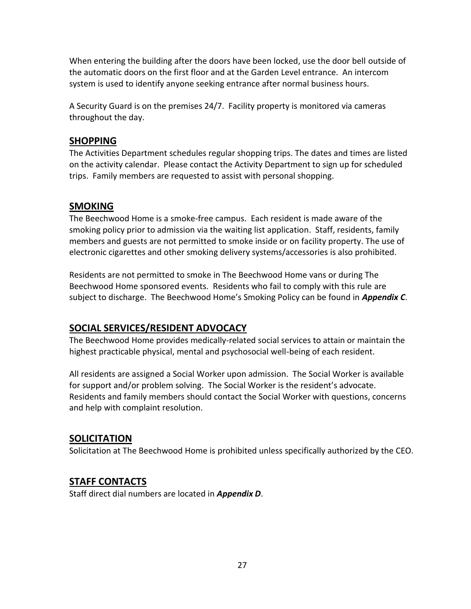When entering the building after the doors have been locked, use the door bell outside of the automatic doors on the first floor and at the Garden Level entrance. An intercom system is used to identify anyone seeking entrance after normal business hours.

A Security Guard is on the premises 24/7. Facility property is monitored via cameras throughout the day.

#### **SHOPPING**

The Activities Department schedules regular shopping trips. The dates and times are listed on the activity calendar. Please contact the Activity Department to sign up for scheduled trips. Family members are requested to assist with personal shopping.

#### **SMOKING**

The Beechwood Home is a smoke-free campus. Each resident is made aware of the smoking policy prior to admission via the waiting list application. Staff, residents, family members and guests are not permitted to smoke inside or on facility property. The use of electronic cigarettes and other smoking delivery systems/accessories is also prohibited.

Residents are not permitted to smoke in The Beechwood Home vans or during The Beechwood Home sponsored events. Residents who fail to comply with this rule are subject to discharge. The Beechwood Home's Smoking Policy can be found in *Appendix C*.

#### **SOCIAL SERVICES/RESIDENT ADVOCACY**

The Beechwood Home provides medically-related social services to attain or maintain the highest practicable physical, mental and psychosocial well-being of each resident.

All residents are assigned a Social Worker upon admission. The Social Worker is available for support and/or problem solving. The Social Worker is the resident's advocate. Residents and family members should contact the Social Worker with questions, concerns and help with complaint resolution.

#### **SOLICITATION**

Solicitation at The Beechwood Home is prohibited unless specifically authorized by the CEO.

#### **STAFF CONTACTS**

Staff direct dial numbers are located in *Appendix D*.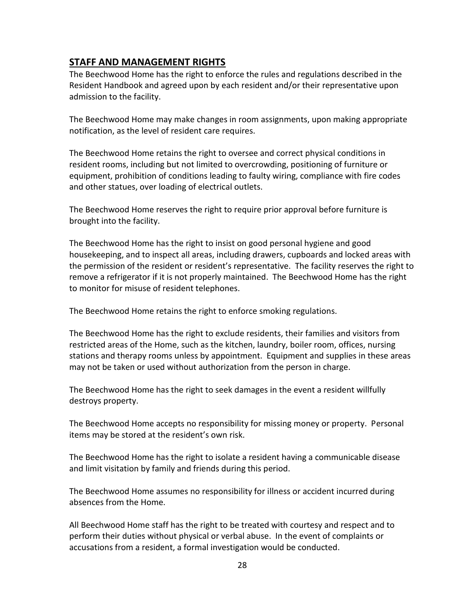#### **STAFF AND MANAGEMENT RIGHTS**

The Beechwood Home has the right to enforce the rules and regulations described in the Resident Handbook and agreed upon by each resident and/or their representative upon admission to the facility.

The Beechwood Home may make changes in room assignments, upon making appropriate notification, as the level of resident care requires.

The Beechwood Home retains the right to oversee and correct physical conditions in resident rooms, including but not limited to overcrowding, positioning of furniture or equipment, prohibition of conditions leading to faulty wiring, compliance with fire codes and other statues, over loading of electrical outlets.

The Beechwood Home reserves the right to require prior approval before furniture is brought into the facility.

The Beechwood Home has the right to insist on good personal hygiene and good housekeeping, and to inspect all areas, including drawers, cupboards and locked areas with the permission of the resident or resident's representative. The facility reserves the right to remove a refrigerator if it is not properly maintained. The Beechwood Home has the right to monitor for misuse of resident telephones.

The Beechwood Home retains the right to enforce smoking regulations.

The Beechwood Home has the right to exclude residents, their families and visitors from restricted areas of the Home, such as the kitchen, laundry, boiler room, offices, nursing stations and therapy rooms unless by appointment. Equipment and supplies in these areas may not be taken or used without authorization from the person in charge.

The Beechwood Home has the right to seek damages in the event a resident willfully destroys property.

The Beechwood Home accepts no responsibility for missing money or property. Personal items may be stored at the resident's own risk.

The Beechwood Home has the right to isolate a resident having a communicable disease and limit visitation by family and friends during this period.

The Beechwood Home assumes no responsibility for illness or accident incurred during absences from the Home.

All Beechwood Home staff has the right to be treated with courtesy and respect and to perform their duties without physical or verbal abuse. In the event of complaints or accusations from a resident, a formal investigation would be conducted.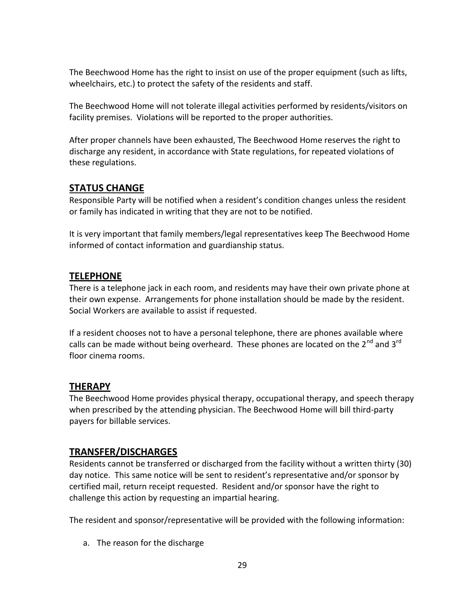The Beechwood Home has the right to insist on use of the proper equipment (such as lifts, wheelchairs, etc.) to protect the safety of the residents and staff.

The Beechwood Home will not tolerate illegal activities performed by residents/visitors on facility premises. Violations will be reported to the proper authorities.

After proper channels have been exhausted, The Beechwood Home reserves the right to discharge any resident, in accordance with State regulations, for repeated violations of these regulations.

#### **STATUS CHANGE**

Responsible Party will be notified when a resident's condition changes unless the resident or family has indicated in writing that they are not to be notified.

It is very important that family members/legal representatives keep The Beechwood Home informed of contact information and guardianship status.

#### **TELEPHONE**

There is a telephone jack in each room, and residents may have their own private phone at their own expense. Arrangements for phone installation should be made by the resident. Social Workers are available to assist if requested.

If a resident chooses not to have a personal telephone, there are phones available where calls can be made without being overheard. These phones are located on the  $2^{nd}$  and  $3^{rd}$ floor cinema rooms.

#### **THERAPY**

The Beechwood Home provides physical therapy, occupational therapy, and speech therapy when prescribed by the attending physician. The Beechwood Home will bill third-party payers for billable services.

#### **TRANSFER/DISCHARGES**

Residents cannot be transferred or discharged from the facility without a written thirty (30) day notice. This same notice will be sent to resident's representative and/or sponsor by certified mail, return receipt requested. Resident and/or sponsor have the right to challenge this action by requesting an impartial hearing.

The resident and sponsor/representative will be provided with the following information:

a. The reason for the discharge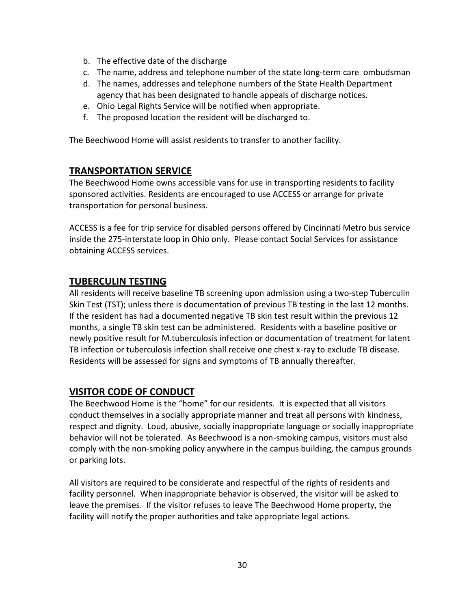- b. The effective date of the discharge
- c. The name, address and telephone number of the state long-term care ombudsman
- d. The names, addresses and telephone numbers of the State Health Department agency that has been designated to handle appeals of discharge notices.
- e. Ohio Legal Rights Service will be notified when appropriate.
- f. The proposed location the resident will be discharged to.

The Beechwood Home will assist residents to transfer to another facility.

#### **TRANSPORTATION SERVICE**

The Beechwood Home owns accessible vans for use in transporting residents to facility sponsored activities. Residents are encouraged to use ACCESS or arrange for private transportation for personal business.

ACCESS is a fee for trip service for disabled persons offered by Cincinnati Metro bus service inside the 275-interstate loop in Ohio only. Please contact Social Services for assistance obtaining ACCESS services.

#### **TUBERCULIN TESTING**

All residents will receive baseline TB screening upon admission using a two-step Tuberculin Skin Test (TST); unless there is documentation of previous TB testing in the last 12 months. If the resident has had a documented negative TB skin test result within the previous 12 months, a single TB skin test can be administered. Residents with a baseline positive or newly positive result for M.tuberculosis infection or documentation of treatment for latent TB infection or tuberculosis infection shall receive one chest x-ray to exclude TB disease. Residents will be assessed for signs and symptoms of TB annually thereafter.

#### **VISITOR CODE OF CONDUCT**

The Beechwood Home is the "home" for our residents. It is expected that all visitors conduct themselves in a socially appropriate manner and treat all persons with kindness, respect and dignity. Loud, abusive, socially inappropriate language or socially inappropriate behavior will not be tolerated. As Beechwood is a non-smoking campus, visitors must also comply with the non-smoking policy anywhere in the campus building, the campus grounds or parking lots.

All visitors are required to be considerate and respectful of the rights of residents and facility personnel. When inappropriate behavior is observed, the visitor will be asked to leave the premises. If the visitor refuses to leave The Beechwood Home property, the facility will notify the proper authorities and take appropriate legal actions.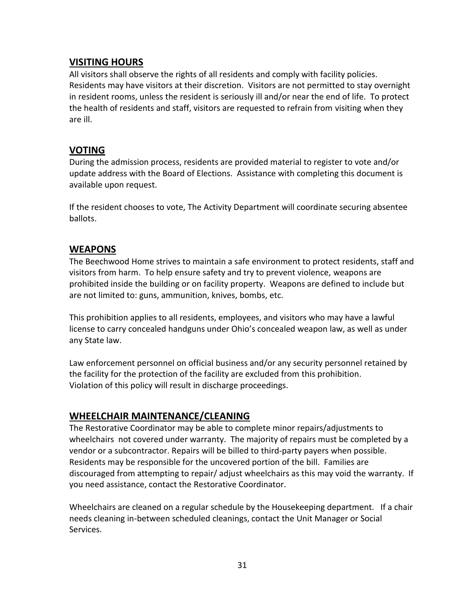#### **VISITING HOURS**

All visitors shall observe the rights of all residents and comply with facility policies. Residents may have visitors at their discretion. Visitors are not permitted to stay overnight in resident rooms, unless the resident is seriously ill and/or near the end of life. To protect the health of residents and staff, visitors are requested to refrain from visiting when they are ill.

#### **VOTING**

During the admission process, residents are provided material to register to vote and/or update address with the Board of Elections. Assistance with completing this document is available upon request.

If the resident chooses to vote, The Activity Department will coordinate securing absentee ballots.

#### **WEAPONS**

The Beechwood Home strives to maintain a safe environment to protect residents, staff and visitors from harm. To help ensure safety and try to prevent violence, weapons are prohibited inside the building or on facility property. Weapons are defined to include but are not limited to: guns, ammunition, knives, bombs, etc.

This prohibition applies to all residents, employees, and visitors who may have a lawful license to carry concealed handguns under Ohio's concealed weapon law, as well as under any State law.

Law enforcement personnel on official business and/or any security personnel retained by the facility for the protection of the facility are excluded from this prohibition. Violation of this policy will result in discharge proceedings.

#### **WHEELCHAIR MAINTENANCE/CLEANING**

The Restorative Coordinator may be able to complete minor repairs/adjustments to wheelchairs not covered under warranty. The majority of repairs must be completed by a vendor or a subcontractor. Repairs will be billed to third-party payers when possible. Residents may be responsible for the uncovered portion of the bill. Families are discouraged from attempting to repair/ adjust wheelchairs as this may void the warranty. If you need assistance, contact the Restorative Coordinator.

Wheelchairs are cleaned on a regular schedule by the Housekeeping department. If a chair needs cleaning in-between scheduled cleanings, contact the Unit Manager or Social Services.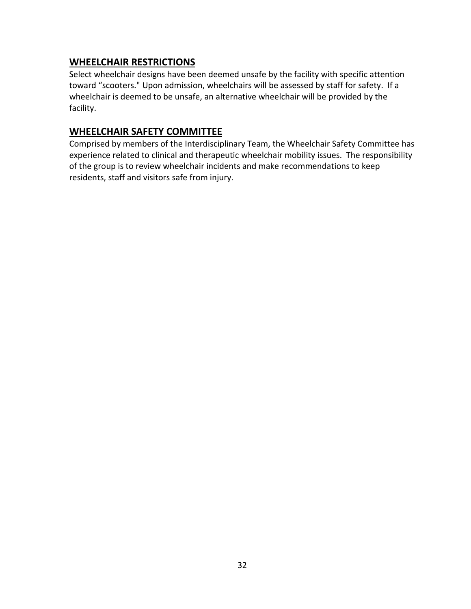#### **WHEELCHAIR RESTRICTIONS**

Select wheelchair designs have been deemed unsafe by the facility with specific attention toward "scooters." Upon admission, wheelchairs will be assessed by staff for safety. If a wheelchair is deemed to be unsafe, an alternative wheelchair will be provided by the facility.

#### **WHEELCHAIR SAFETY COMMITTEE**

Comprised by members of the Interdisciplinary Team, the Wheelchair Safety Committee has experience related to clinical and therapeutic wheelchair mobility issues. The responsibility of the group is to review wheelchair incidents and make recommendations to keep residents, staff and visitors safe from injury.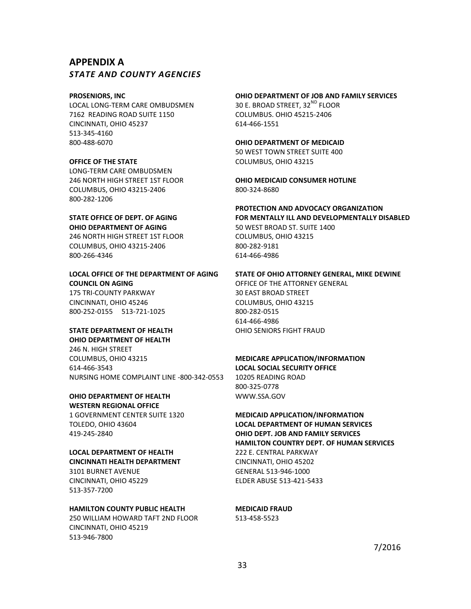#### **APPENDIX A** *STATE AND COUNTY AGENCIES*

LOCAL LONG-TERM CARE OMBUDSMEN 7162 READING ROAD SUITE 1150 COLUMBUS. OHIO 45215-2406 CINCINNATI, OHIO 45237 614-466-1551 513-345-4160 800-488-6070 **OHIO DEPARTMENT OF MEDICAID**

LONG-TERM CARE OMBUDSMEN COLUMBUS, OHIO 43215-2406 800-324-8680 800-282-1206

## **OHIO DEPARTMENT OF AGING** 50 NEST BROAD ST. SUITE 1400

246 NORTH HIGH STREET 1ST FLOOR COLUMBUS, OHIO 43215 COLUMBUS, OHIO 43215-2406 800-282-9181 800-266-4346 614-466-4986

**COUNCIL ON AGING COUNCIL ON AGING** 175 TRI-COUNTY PARKWAY 30 EAST BROAD STREET CINCINNATI, OHIO 45246 COLUMBUS, OHIO 43215 800-252-0155 513-721-1025 800-282-0515

#### **STATE DEPARTMENT OF HEALTH CHIP COMIC SENIORS FIGHT FRAUD**

**OHIO DEPARTMENT OF HEALTH** 246 N. HIGH STREET COLUMBUS, OHIO 43215 **MEDICARE APPLICATION/INFORMATION** 614-466-3543 **LOCAL SOCIAL SECURITY OFFICE** NURSING HOME COMPLAINT LINE -800-342-0553 10205 READING ROAD

#### **OHIO DEPARTMENT OF HEALTH WWW.SSA.GOV WESTERN REGIONAL OFFICE**

#### **LOCAL DEPARTMENT OF HEALTH** 222 E. CENTRAL PARKWAY

3101 BURNET AVENUE GENERAL 513-946-1000 513-357-7200

#### **HAMILTON COUNTY PUBLIC HEALTH MEDICAID FRAUD**

250 WILLIAM HOWARD TAFT 2ND FLOOR 513-458-5523 CINCINNATI, OHIO 45219 513-946-7800

# **PROSENIORS, INC OHIO DEPARTMENT OF JOB AND FAMILY SERVICES**

50 WEST TOWN STREET SUITE 400 **OFFICE OF THE STATE COLUMBUS, OHIO 43215** 

246 NORTH HIGH STREET 1ST FLOOR **OHIO MEDICAID CONSUMER HOTLINE**

# **PROTECTION AND ADVOCACY ORGANIZATION STATE OFFICE OF DEPT. OF AGING FOR MENTALLY ILL AND DEVELOPMENTALLY DISABLED**

#### **LOCAL OFFICE OF THE DEPARTMENT OF AGING STATE OF OHIO ATTORNEY GENERAL, MIKE DEWINE**

614-466-4986

# 800-325-0778

1 GOVERNMENT CENTER SUITE 1320 **MEDICAID APPLICATION/INFORMATION** TOLEDO, OHIO 43604 **LOCAL DEPARTMENT OF HUMAN SERVICES** 419-245-2840 **OHIO DEPT. JOB AND FAMILY SERVICES HAMILTON COUNTRY DEPT. OF HUMAN SERVICES CINCINNATI HEALTH DEPARTMENT** CINCINNATI, OHIO 45202 CINCINNATI, OHIO 45229 ELDER ABUSE 513-421-5433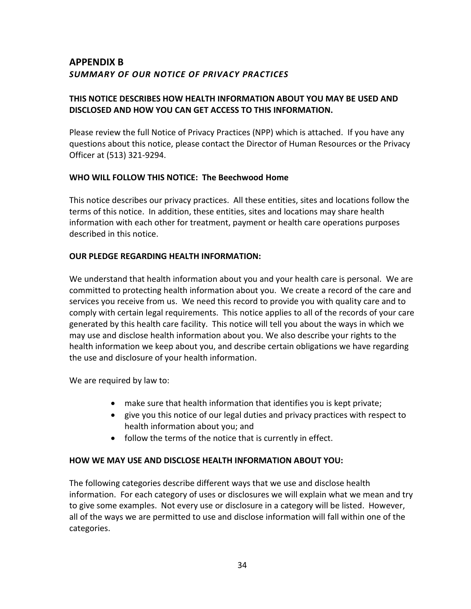#### **APPENDIX B** *SUMMARY OF OUR NOTICE OF PRIVACY PRACTICES*

#### **THIS NOTICE DESCRIBES HOW HEALTH INFORMATION ABOUT YOU MAY BE USED AND DISCLOSED AND HOW YOU CAN GET ACCESS TO THIS INFORMATION.**

Please review the full Notice of Privacy Practices (NPP) which is attached. If you have any questions about this notice, please contact the Director of Human Resources or the Privacy Officer at (513) 321-9294.

#### **WHO WILL FOLLOW THIS NOTICE: The Beechwood Home**

This notice describes our privacy practices. All these entities, sites and locations follow the terms of this notice. In addition, these entities, sites and locations may share health information with each other for treatment, payment or health care operations purposes described in this notice.

#### **OUR PLEDGE REGARDING HEALTH INFORMATION:**

We understand that health information about you and your health care is personal. We are committed to protecting health information about you. We create a record of the care and services you receive from us. We need this record to provide you with quality care and to comply with certain legal requirements. This notice applies to all of the records of your care generated by this health care facility. This notice will tell you about the ways in which we may use and disclose health information about you. We also describe your rights to the health information we keep about you, and describe certain obligations we have regarding the use and disclosure of your health information.

We are required by law to:

- make sure that health information that identifies you is kept private;
- give you this notice of our legal duties and privacy practices with respect to health information about you; and
- follow the terms of the notice that is currently in effect.

#### **HOW WE MAY USE AND DISCLOSE HEALTH INFORMATION ABOUT YOU:**

The following categories describe different ways that we use and disclose health information. For each category of uses or disclosures we will explain what we mean and try to give some examples. Not every use or disclosure in a category will be listed. However, all of the ways we are permitted to use and disclose information will fall within one of the categories.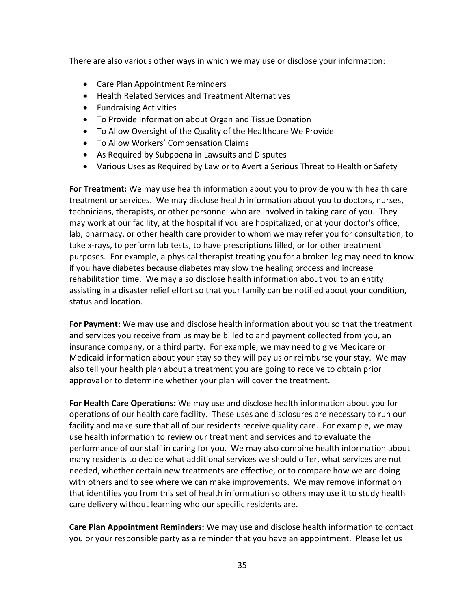There are also various other ways in which we may use or disclose your information:

- Care Plan Appointment Reminders
- Health Related Services and Treatment Alternatives
- **•** Fundraising Activities
- To Provide Information about Organ and Tissue Donation
- To Allow Oversight of the Quality of the Healthcare We Provide
- To Allow Workers' Compensation Claims
- As Required by Subpoena in Lawsuits and Disputes
- Various Uses as Required by Law or to Avert a Serious Threat to Health or Safety

**For Treatment:** We may use health information about you to provide you with health care treatment or services. We may disclose health information about you to doctors, nurses, technicians, therapists, or other personnel who are involved in taking care of you. They may work at our facility, at the hospital if you are hospitalized, or at your doctor's office, lab, pharmacy, or other health care provider to whom we may refer you for consultation, to take x-rays, to perform lab tests, to have prescriptions filled, or for other treatment purposes. For example, a physical therapist treating you for a broken leg may need to know if you have diabetes because diabetes may slow the healing process and increase rehabilitation time. We may also disclose health information about you to an entity assisting in a disaster relief effort so that your family can be notified about your condition, status and location.

**For Payment:** We may use and disclose health information about you so that the treatment and services you receive from us may be billed to and payment collected from you, an insurance company, or a third party. For example, we may need to give Medicare or Medicaid information about your stay so they will pay us or reimburse your stay. We may also tell your health plan about a treatment you are going to receive to obtain prior approval or to determine whether your plan will cover the treatment.

**For Health Care Operations:** We may use and disclose health information about you for operations of our health care facility. These uses and disclosures are necessary to run our facility and make sure that all of our residents receive quality care. For example, we may use health information to review our treatment and services and to evaluate the performance of our staff in caring for you. We may also combine health information about many residents to decide what additional services we should offer, what services are not needed, whether certain new treatments are effective, or to compare how we are doing with others and to see where we can make improvements. We may remove information that identifies you from this set of health information so others may use it to study health care delivery without learning who our specific residents are.

**Care Plan Appointment Reminders:** We may use and disclose health information to contact you or your responsible party as a reminder that you have an appointment. Please let us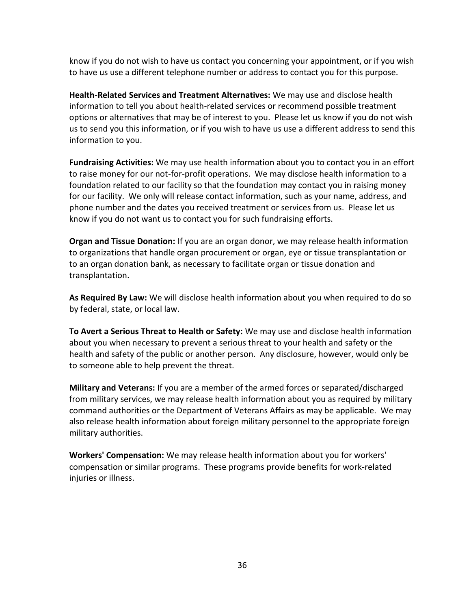know if you do not wish to have us contact you concerning your appointment, or if you wish to have us use a different telephone number or address to contact you for this purpose.

**Health-Related Services and Treatment Alternatives:** We may use and disclose health information to tell you about health-related services or recommend possible treatment options or alternatives that may be of interest to you. Please let us know if you do not wish us to send you this information, or if you wish to have us use a different address to send this information to you.

**Fundraising Activities:** We may use health information about you to contact you in an effort to raise money for our not-for-profit operations. We may disclose health information to a foundation related to our facility so that the foundation may contact you in raising money for our facility. We only will release contact information, such as your name, address, and phone number and the dates you received treatment or services from us. Please let us know if you do not want us to contact you for such fundraising efforts.

**Organ and Tissue Donation:** If you are an organ donor, we may release health information to organizations that handle organ procurement or organ, eye or tissue transplantation or to an organ donation bank, as necessary to facilitate organ or tissue donation and transplantation.

**As Required By Law:** We will disclose health information about you when required to do so by federal, state, or local law.

**To Avert a Serious Threat to Health or Safety:** We may use and disclose health information about you when necessary to prevent a serious threat to your health and safety or the health and safety of the public or another person. Any disclosure, however, would only be to someone able to help prevent the threat.

**Military and Veterans:** If you are a member of the armed forces or separated/discharged from military services, we may release health information about you as required by military command authorities or the Department of Veterans Affairs as may be applicable. We may also release health information about foreign military personnel to the appropriate foreign military authorities.

**Workers' Compensation:** We may release health information about you for workers' compensation or similar programs. These programs provide benefits for work-related injuries or illness.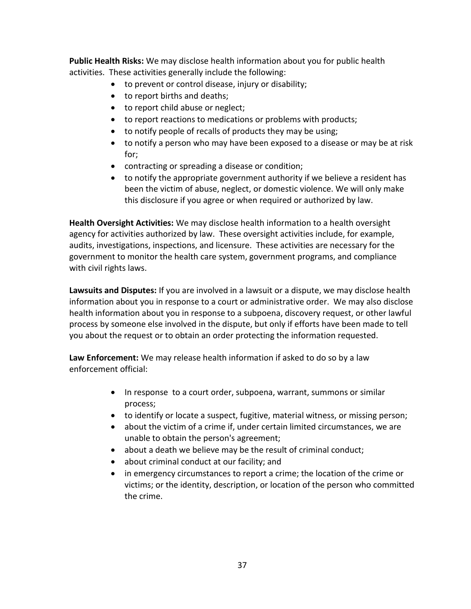**Public Health Risks:** We may disclose health information about you for public health activities. These activities generally include the following:

- to prevent or control disease, injury or disability;
- to report births and deaths;
- to report child abuse or neglect;
- to report reactions to medications or problems with products;
- to notify people of recalls of products they may be using;
- to notify a person who may have been exposed to a disease or may be at risk for;
- contracting or spreading a disease or condition;
- to notify the appropriate government authority if we believe a resident has been the victim of abuse, neglect, or domestic violence. We will only make this disclosure if you agree or when required or authorized by law.

**Health Oversight Activities:** We may disclose health information to a health oversight agency for activities authorized by law. These oversight activities include, for example, audits, investigations, inspections, and licensure. These activities are necessary for the government to monitor the health care system, government programs, and compliance with civil rights laws.

**Lawsuits and Disputes:** If you are involved in a lawsuit or a dispute, we may disclose health information about you in response to a court or administrative order. We may also disclose health information about you in response to a subpoena, discovery request, or other lawful process by someone else involved in the dispute, but only if efforts have been made to tell you about the request or to obtain an order protecting the information requested.

**Law Enforcement:** We may release health information if asked to do so by a law enforcement official:

- In response to a court order, subpoena, warrant, summons or similar process;
- to identify or locate a suspect, fugitive, material witness, or missing person;
- about the victim of a crime if, under certain limited circumstances, we are unable to obtain the person's agreement;
- about a death we believe may be the result of criminal conduct;
- about criminal conduct at our facility; and
- in emergency circumstances to report a crime; the location of the crime or victims; or the identity, description, or location of the person who committed the crime.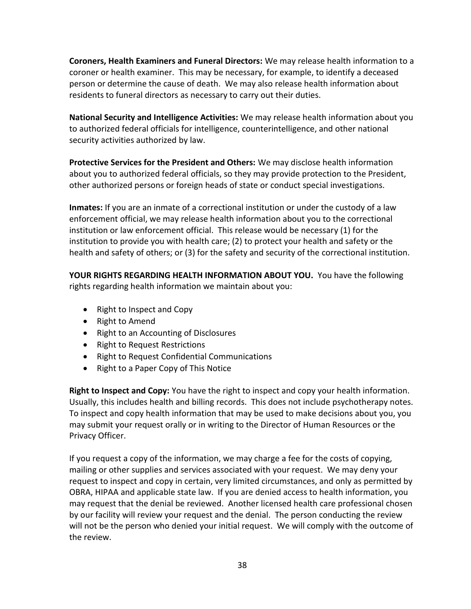**Coroners, Health Examiners and Funeral Directors:** We may release health information to a coroner or health examiner. This may be necessary, for example, to identify a deceased person or determine the cause of death. We may also release health information about residents to funeral directors as necessary to carry out their duties.

**National Security and Intelligence Activities:** We may release health information about you to authorized federal officials for intelligence, counterintelligence, and other national security activities authorized by law.

**Protective Services for the President and Others:** We may disclose health information about you to authorized federal officials, so they may provide protection to the President, other authorized persons or foreign heads of state or conduct special investigations.

**Inmates:** If you are an inmate of a correctional institution or under the custody of a law enforcement official, we may release health information about you to the correctional institution or law enforcement official. This release would be necessary (1) for the institution to provide you with health care; (2) to protect your health and safety or the health and safety of others; or (3) for the safety and security of the correctional institution.

**YOUR RIGHTS REGARDING HEALTH INFORMATION ABOUT YOU.** You have the following rights regarding health information we maintain about you:

- Right to Inspect and Copy
- Right to Amend
- Right to an Accounting of Disclosures
- Right to Request Restrictions
- Right to Request Confidential Communications
- Right to a Paper Copy of This Notice

**Right to Inspect and Copy:** You have the right to inspect and copy your health information. Usually, this includes health and billing records. This does not include psychotherapy notes. To inspect and copy health information that may be used to make decisions about you, you may submit your request orally or in writing to the Director of Human Resources or the Privacy Officer.

If you request a copy of the information, we may charge a fee for the costs of copying, mailing or other supplies and services associated with your request. We may deny your request to inspect and copy in certain, very limited circumstances, and only as permitted by OBRA, HIPAA and applicable state law. If you are denied access to health information, you may request that the denial be reviewed. Another licensed health care professional chosen by our facility will review your request and the denial. The person conducting the review will not be the person who denied your initial request. We will comply with the outcome of the review.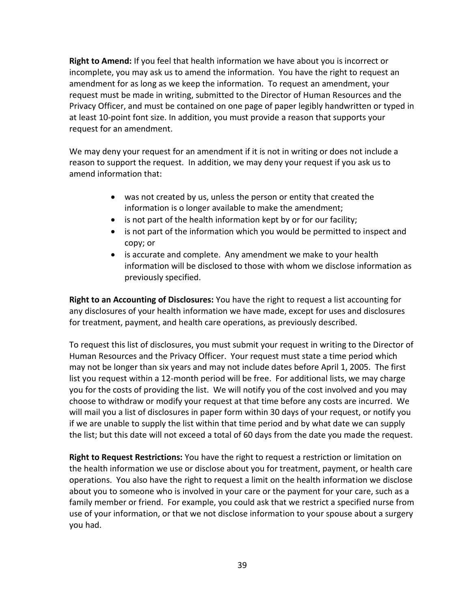**Right to Amend:** If you feel that health information we have about you is incorrect or incomplete, you may ask us to amend the information. You have the right to request an amendment for as long as we keep the information. To request an amendment, your request must be made in writing, submitted to the Director of Human Resources and the Privacy Officer, and must be contained on one page of paper legibly handwritten or typed in at least 10-point font size. In addition, you must provide a reason that supports your request for an amendment.

We may deny your request for an amendment if it is not in writing or does not include a reason to support the request. In addition, we may deny your request if you ask us to amend information that:

- was not created by us, unless the person or entity that created the information is o longer available to make the amendment;
- is not part of the health information kept by or for our facility;
- is not part of the information which you would be permitted to inspect and copy; or
- is accurate and complete. Any amendment we make to your health information will be disclosed to those with whom we disclose information as previously specified.

**Right to an Accounting of Disclosures:** You have the right to request a list accounting for any disclosures of your health information we have made, except for uses and disclosures for treatment, payment, and health care operations, as previously described.

To request this list of disclosures, you must submit your request in writing to the Director of Human Resources and the Privacy Officer. Your request must state a time period which may not be longer than six years and may not include dates before April 1, 2005. The first list you request within a 12-month period will be free. For additional lists, we may charge you for the costs of providing the list. We will notify you of the cost involved and you may choose to withdraw or modify your request at that time before any costs are incurred. We will mail you a list of disclosures in paper form within 30 days of your request, or notify you if we are unable to supply the list within that time period and by what date we can supply the list; but this date will not exceed a total of 60 days from the date you made the request.

**Right to Request Restrictions:** You have the right to request a restriction or limitation on the health information we use or disclose about you for treatment, payment, or health care operations. You also have the right to request a limit on the health information we disclose about you to someone who is involved in your care or the payment for your care, such as a family member or friend. For example, you could ask that we restrict a specified nurse from use of your information, or that we not disclose information to your spouse about a surgery you had.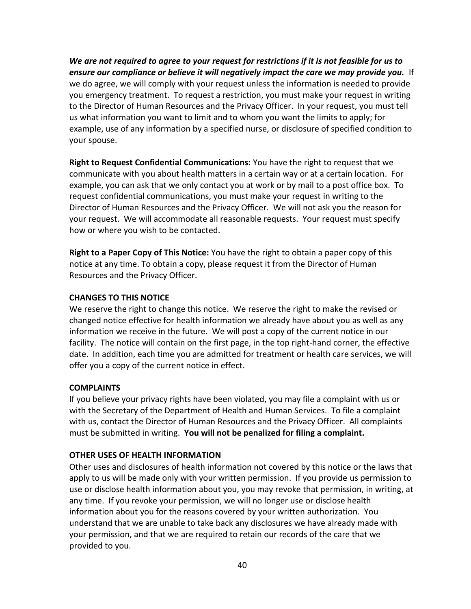*We are not required to agree to your request for restrictions if it is not feasible for us to ensure our compliance or believe it will negatively impact the care we may provide you.* If we do agree, we will comply with your request unless the information is needed to provide you emergency treatment. To request a restriction, you must make your request in writing to the Director of Human Resources and the Privacy Officer. In your request, you must tell us what information you want to limit and to whom you want the limits to apply; for example, use of any information by a specified nurse, or disclosure of specified condition to your spouse.

**Right to Request Confidential Communications:** You have the right to request that we communicate with you about health matters in a certain way or at a certain location. For example, you can ask that we only contact you at work or by mail to a post office box. To request confidential communications, you must make your request in writing to the Director of Human Resources and the Privacy Officer. We will not ask you the reason for your request. We will accommodate all reasonable requests. Your request must specify how or where you wish to be contacted.

**Right to a Paper Copy of This Notice:** You have the right to obtain a paper copy of this notice at any time. To obtain a copy, please request it from the Director of Human Resources and the Privacy Officer.

#### **CHANGES TO THIS NOTICE**

We reserve the right to change this notice. We reserve the right to make the revised or changed notice effective for health information we already have about you as well as any information we receive in the future. We will post a copy of the current notice in our facility. The notice will contain on the first page, in the top right-hand corner, the effective date. In addition, each time you are admitted for treatment or health care services, we will offer you a copy of the current notice in effect.

#### **COMPLAINTS**

If you believe your privacy rights have been violated, you may file a complaint with us or with the Secretary of the Department of Health and Human Services. To file a complaint with us, contact the Director of Human Resources and the Privacy Officer. All complaints must be submitted in writing. **You will not be penalized for filing a complaint.**

#### **OTHER USES OF HEALTH INFORMATION**

Other uses and disclosures of health information not covered by this notice or the laws that apply to us will be made only with your written permission. If you provide us permission to use or disclose health information about you, you may revoke that permission, in writing, at any time. If you revoke your permission, we will no longer use or disclose health information about you for the reasons covered by your written authorization. You understand that we are unable to take back any disclosures we have already made with your permission, and that we are required to retain our records of the care that we provided to you.